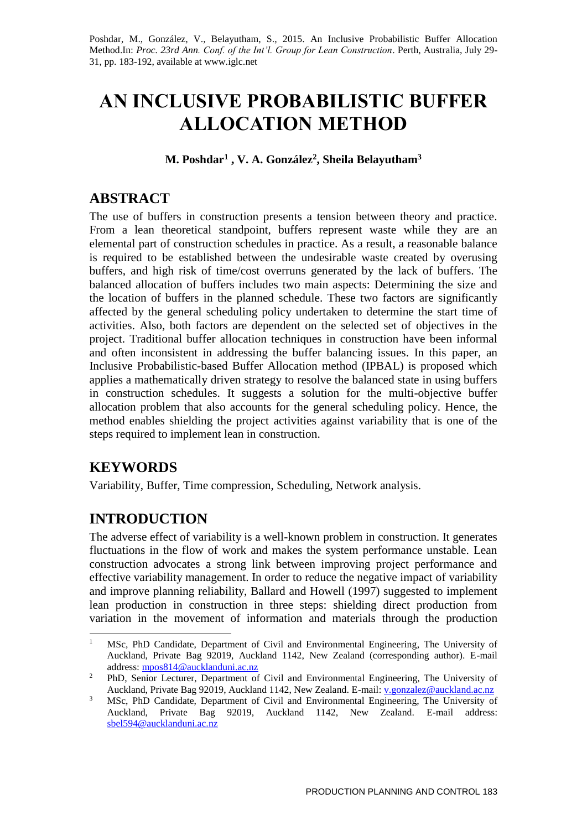Poshdar, M., González, V., Belayutham, S., 2015. An Inclusive Probabilistic Buffer Allocation Method.In: *Proc. 23rd Ann. Conf. of the Int'l. Group for Lean Construction*. Perth, Australia, July 29- 31, pp. 183-192, available at www.iglc.net

# **AN INCLUSIVE PROBABILISTIC BUFFER ALLOCATION METHOD**

**M. Poshdar<sup>1</sup> , V. A. González<sup>2</sup> , Sheila Belayutham<sup>3</sup>**

## **ABSTRACT**

The use of buffers in construction presents a tension between theory and practice. From a lean theoretical standpoint, buffers represent waste while they are an elemental part of construction schedules in practice. As a result, a reasonable balance is required to be established between the undesirable waste created by overusing buffers, and high risk of time/cost overruns generated by the lack of buffers. The balanced allocation of buffers includes two main aspects: Determining the size and the location of buffers in the planned schedule. These two factors are significantly affected by the general scheduling policy undertaken to determine the start time of activities. Also, both factors are dependent on the selected set of objectives in the project. Traditional buffer allocation techniques in construction have been informal and often inconsistent in addressing the buffer balancing issues. In this paper, an Inclusive Probabilistic-based Buffer Allocation method (IPBAL) is proposed which applies a mathematically driven strategy to resolve the balanced state in using buffers in construction schedules. It suggests a solution for the multi-objective buffer allocation problem that also accounts for the general scheduling policy. Hence, the method enables shielding the project activities against variability that is one of the steps required to implement lean in construction.

# **KEYWORDS**

Variability, Buffer, Time compression, Scheduling, Network analysis.

# **INTRODUCTION**

The adverse effect of variability is a well-known problem in construction. It generates fluctuations in the flow of work and makes the system performance unstable. Lean construction advocates a strong link between improving project performance and effective variability management. In order to reduce the negative impact of variability and improve planning reliability, Ballard and Howell (1997) suggested to implement lean production in construction in three steps: shielding direct production from variation in the movement of information and materials through the production

 $\mathbf{1}$ <sup>1</sup> MSc, PhD Candidate, Department of Civil and Environmental Engineering, The University of Auckland, Private Bag 92019, Auckland 1142, New Zealand (corresponding author). E-mail address: [mpos814@aucklanduni.ac.nz](mailto:mpos814@aucklanduni.ac.nz)

<sup>&</sup>lt;sup>2</sup> PhD, Senior Lecturer, Department of Civil and Environmental Engineering, The University of Auckland, Private Bag 92019, Auckland 1142, New Zealand. E-mail[: v.gonzalez@auckland.ac.nz](mailto:v.gonzalez@auckland.ac.nz)

<sup>&</sup>lt;sup>3</sup> MSc, PhD Candidate, Department of Civil and Environmental Engineering, The University of Auckland, Private Bag 92019, Auckland 1142, New Zealand. E-mail address: [sbel594@aucklanduni.ac.nz](mailto:sbel594@aucklanduni.ac.nz)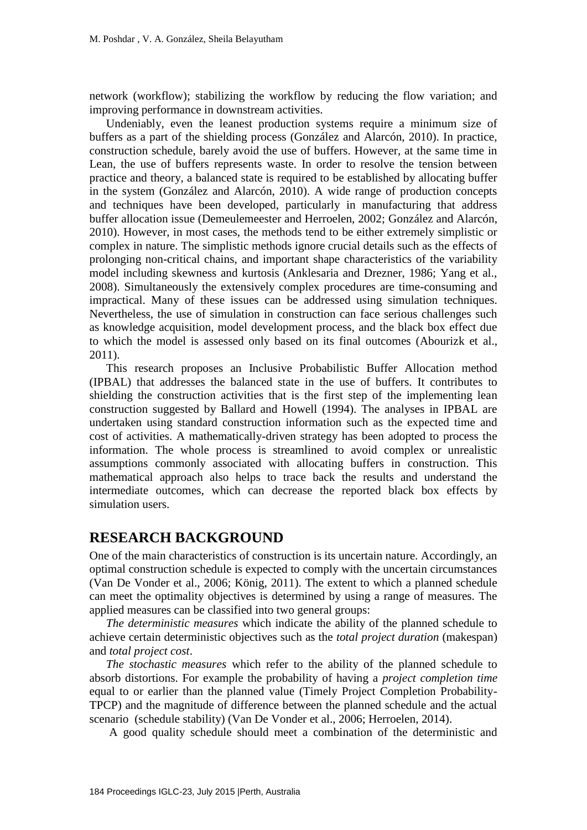network (workflow); stabilizing the workflow by reducing the flow variation; and improving performance in downstream activities.

Undeniably, even the leanest production systems require a minimum size of buffers as a part of the shielding process (González and Alarcón, 2010). In practice, construction schedule, barely avoid the use of buffers. However, at the same time in Lean, the use of buffers represents waste. In order to resolve the tension between practice and theory, a balanced state is required to be established by allocating buffer in the system (González and Alarcón, 2010). A wide range of production concepts and techniques have been developed, particularly in manufacturing that address buffer allocation issue (Demeulemeester and Herroelen, 2002; González and Alarcón, 2010). However, in most cases, the methods tend to be either extremely simplistic or complex in nature. The simplistic methods ignore crucial details such as the effects of prolonging non-critical chains, and important shape characteristics of the variability model including skewness and kurtosis (Anklesaria and Drezner, 1986; Yang et al., 2008). Simultaneously the extensively complex procedures are time-consuming and impractical. Many of these issues can be addressed using simulation techniques. Nevertheless, the use of simulation in construction can face serious challenges such as knowledge acquisition, model development process, and the black box effect due to which the model is assessed only based on its final outcomes (Abourizk et al., 2011).

This research proposes an Inclusive Probabilistic Buffer Allocation method (IPBAL) that addresses the balanced state in the use of buffers. It contributes to shielding the construction activities that is the first step of the implementing lean construction suggested by Ballard and Howell (1994). The analyses in IPBAL are undertaken using standard construction information such as the expected time and cost of activities. A mathematically-driven strategy has been adopted to process the information. The whole process is streamlined to avoid complex or unrealistic assumptions commonly associated with allocating buffers in construction. This mathematical approach also helps to trace back the results and understand the intermediate outcomes, which can decrease the reported black box effects by simulation users.

#### **RESEARCH BACKGROUND**

One of the main characteristics of construction is its uncertain nature. Accordingly, an optimal construction schedule is expected to comply with the uncertain circumstances (Van De Vonder et al., 2006; König, 2011). The extent to which a planned schedule can meet the optimality objectives is determined by using a range of measures. The applied measures can be classified into two general groups:

*The deterministic measures* which indicate the ability of the planned schedule to achieve certain deterministic objectives such as the *total project duration* (makespan) and *total project cost*.

*The stochastic measures* which refer to the ability of the planned schedule to absorb distortions. For example the probability of having a *project completion time* equal to or earlier than the planned value (Timely Project Completion Probability-TPCP) and the magnitude of difference between the planned schedule and the actual scenario (schedule stability) (Van De Vonder et al., 2006; Herroelen, 2014).

A good quality schedule should meet a combination of the deterministic and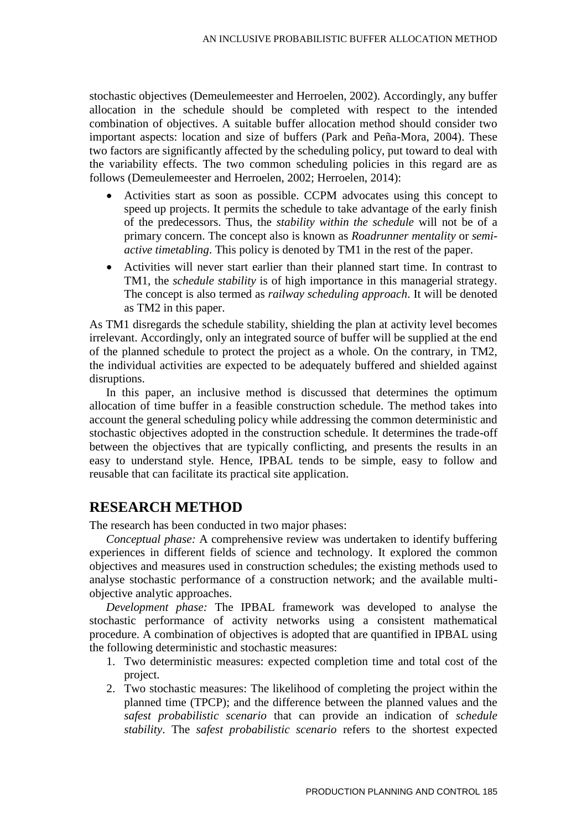stochastic objectives (Demeulemeester and Herroelen, 2002). Accordingly, any buffer allocation in the schedule should be completed with respect to the intended combination of objectives. A suitable buffer allocation method should consider two important aspects: location and size of buffers (Park and Peña-Mora, 2004). These two factors are significantly affected by the scheduling policy, put toward to deal with the variability effects. The two common scheduling policies in this regard are as follows (Demeulemeester and Herroelen, 2002; Herroelen, 2014):

- Activities start as soon as possible. CCPM advocates using this concept to speed up projects. It permits the schedule to take advantage of the early finish of the predecessors. Thus, the *stability within the schedule* will not be of a primary concern. The concept also is known as *Roadrunner mentality* or *semiactive timetabling*. This policy is denoted by TM1 in the rest of the paper.
- Activities will never start earlier than their planned start time. In contrast to TM1, the *schedule stability* is of high importance in this managerial strategy. The concept is also termed as *railway scheduling approach*. It will be denoted as TM2 in this paper.

As TM1 disregards the schedule stability, shielding the plan at activity level becomes irrelevant. Accordingly, only an integrated source of buffer will be supplied at the end of the planned schedule to protect the project as a whole. On the contrary, in TM2, the individual activities are expected to be adequately buffered and shielded against disruptions.

In this paper, an inclusive method is discussed that determines the optimum allocation of time buffer in a feasible construction schedule. The method takes into account the general scheduling policy while addressing the common deterministic and stochastic objectives adopted in the construction schedule. It determines the trade-off between the objectives that are typically conflicting, and presents the results in an easy to understand style. Hence, IPBAL tends to be simple, easy to follow and reusable that can facilitate its practical site application.

#### **RESEARCH METHOD**

The research has been conducted in two major phases:

*Conceptual phase:* A comprehensive review was undertaken to identify buffering experiences in different fields of science and technology. It explored the common objectives and measures used in construction schedules; the existing methods used to analyse stochastic performance of a construction network; and the available multiobjective analytic approaches.

*Development phase:* The IPBAL framework was developed to analyse the stochastic performance of activity networks using a consistent mathematical procedure. A combination of objectives is adopted that are quantified in IPBAL using the following deterministic and stochastic measures:

- 1. Two deterministic measures: expected completion time and total cost of the project.
- 2. Two stochastic measures: The likelihood of completing the project within the planned time (TPCP); and the difference between the planned values and the *safest probabilistic scenario* that can provide an indication of *schedule stability*. The *safest probabilistic scenario* refers to the shortest expected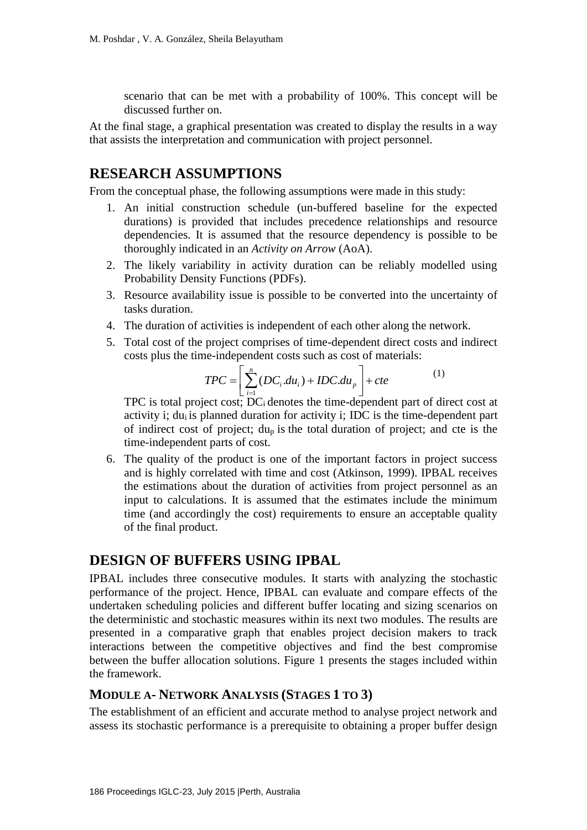scenario that can be met with a probability of 100%. This concept will be discussed further on.

At the final stage, a graphical presentation was created to display the results in a way that assists the interpretation and communication with project personnel.

## **RESEARCH ASSUMPTIONS**

From the conceptual phase, the following assumptions were made in this study:

- 1. An initial construction schedule (un-buffered baseline for the expected durations) is provided that includes precedence relationships and resource dependencies. It is assumed that the resource dependency is possible to be thoroughly indicated in an *Activity on Arrow* (AoA).
- 2. The likely variability in activity duration can be reliably modelled using Probability Density Functions (PDFs).
- 3. Resource availability issue is possible to be converted into the uncertainty of tasks duration.
- 4. The duration of activities is independent of each other along the network.
- 5. Total cost of the project comprises of time-dependent direct costs and indirect

costs plus the time-independent costs such as cost of materials:  
\n
$$
TPC = \left[ \sum_{i=1}^{n} (DC_i \cdot du_i) + IDC \cdot du_p \right] + cte
$$
\n
$$
TPC \text{ is total project cost; DCi denotes the time-dependent part of direct cost at}
$$

(1)

activity i; du<sub>i</sub> is planned duration for activity i; IDC is the time-dependent part of indirect cost of project; dup is the total duration of project; and cte is the time-independent parts of cost.

6. The quality of the product is one of the important factors in project success and is highly correlated with time and cost (Atkinson, 1999). IPBAL receives the estimations about the duration of activities from project personnel as an input to calculations. It is assumed that the estimates include the minimum time (and accordingly the cost) requirements to ensure an acceptable quality of the final product.

### **DESIGN OF BUFFERS USING IPBAL**

IPBAL includes three consecutive modules. It starts with analyzing the stochastic performance of the project. Hence, IPBAL can evaluate and compare effects of the undertaken scheduling policies and different buffer locating and sizing scenarios on the deterministic and stochastic measures within its next two modules. The results are presented in a comparative graph that enables project decision makers to track interactions between the competitive objectives and find the best compromise between the buffer allocation solutions. Figure 1 presents the stages included within the framework.

### **MODULE A- NETWORK ANALYSIS (STAGES 1 TO 3)**

The establishment of an efficient and accurate method to analyse project network and assess its stochastic performance is a prerequisite to obtaining a proper buffer design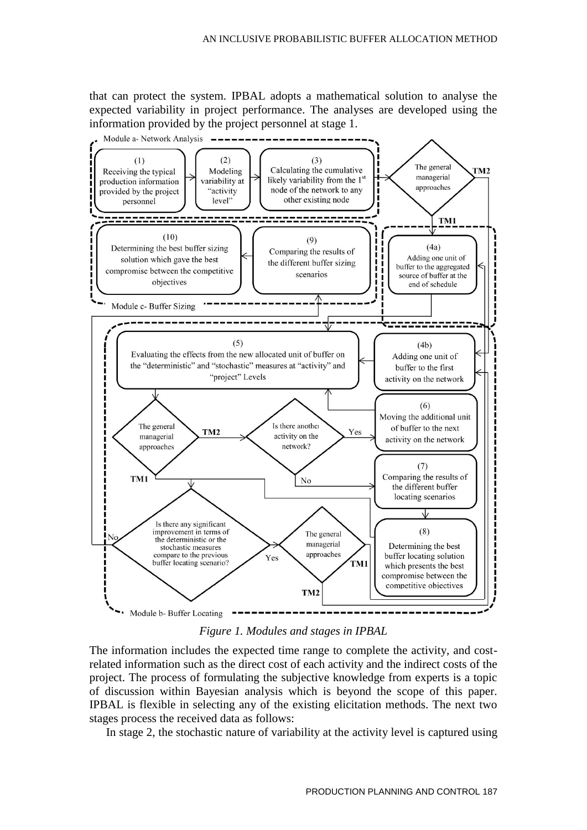that can protect the system. IPBAL adopts a mathematical solution to analyse the expected variability in project performance. The analyses are developed using the information provided by the project personnel at stage 1.



*Figure 1. Modules and stages in IPBAL*

The information includes the expected time range to complete the activity, and costrelated information such as the direct cost of each activity and the indirect costs of the project. The process of formulating the subjective knowledge from experts is a topic of discussion within Bayesian analysis which is beyond the scope of this paper. IPBAL is flexible in selecting any of the existing elicitation methods. The next two stages process the received data as follows:

In stage 2, the stochastic nature of variability at the activity level is captured using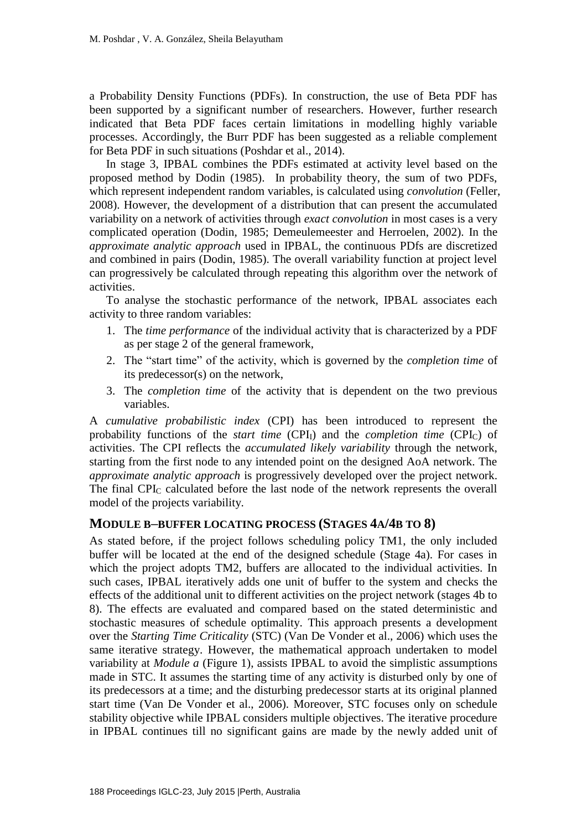a Probability Density Functions (PDFs). In construction, the use of Beta PDF has been supported by a significant number of researchers. However, further research indicated that Beta PDF faces certain limitations in modelling highly variable processes. Accordingly, the Burr PDF has been suggested as a reliable complement for Beta PDF in such situations (Poshdar et al., 2014).

In stage 3, IPBAL combines the PDFs estimated at activity level based on the proposed method by Dodin (1985). In probability theory, the sum of two PDFs, which represent independent random variables, is calculated using *convolution* (Feller, 2008). However, the development of a distribution that can present the accumulated variability on a network of activities through *exact convolution* in most cases is a very complicated operation (Dodin, 1985; Demeulemeester and Herroelen, 2002). In the *approximate analytic approach* used in IPBAL, the continuous PDfs are discretized and combined in pairs (Dodin, 1985). The overall variability function at project level can progressively be calculated through repeating this algorithm over the network of activities.

To analyse the stochastic performance of the network, IPBAL associates each activity to three random variables:

- 1. The *time performance* of the individual activity that is characterized by a PDF as per stage 2 of the general framework,
- 2. The "start time" of the activity, which is governed by the *completion time* of its predecessor(s) on the network,
- 3. The *completion time* of the activity that is dependent on the two previous variables.

A *cumulative probabilistic index* (CPI) has been introduced to represent the probability functions of the *start time* (CPI<sub>I</sub>) and the *completion time* (CPI<sub>C</sub>) of activities. The CPI reflects the *accumulated likely variability* through the network, starting from the first node to any intended point on the designed AoA network. The *approximate analytic approach* is progressively developed over the project network. The final CPI<sup>C</sup> calculated before the last node of the network represents the overall model of the projects variability.

#### **MODULE B–BUFFER LOCATING PROCESS (STAGES 4A/4B TO 8)**

As stated before, if the project follows scheduling policy TM1, the only included buffer will be located at the end of the designed schedule (Stage 4a). For cases in which the project adopts TM2, buffers are allocated to the individual activities. In such cases, IPBAL iteratively adds one unit of buffer to the system and checks the effects of the additional unit to different activities on the project network (stages 4b to 8). The effects are evaluated and compared based on the stated deterministic and stochastic measures of schedule optimality. This approach presents a development over the *Starting Time Criticality* (STC) (Van De Vonder et al., 2006) which uses the same iterative strategy. However, the mathematical approach undertaken to model variability at *Module a* (Figure 1), assists IPBAL to avoid the simplistic assumptions made in STC. It assumes the starting time of any activity is disturbed only by one of its predecessors at a time; and the disturbing predecessor starts at its original planned start time (Van De Vonder et al., 2006). Moreover, STC focuses only on schedule stability objective while IPBAL considers multiple objectives. The iterative procedure in IPBAL continues till no significant gains are made by the newly added unit of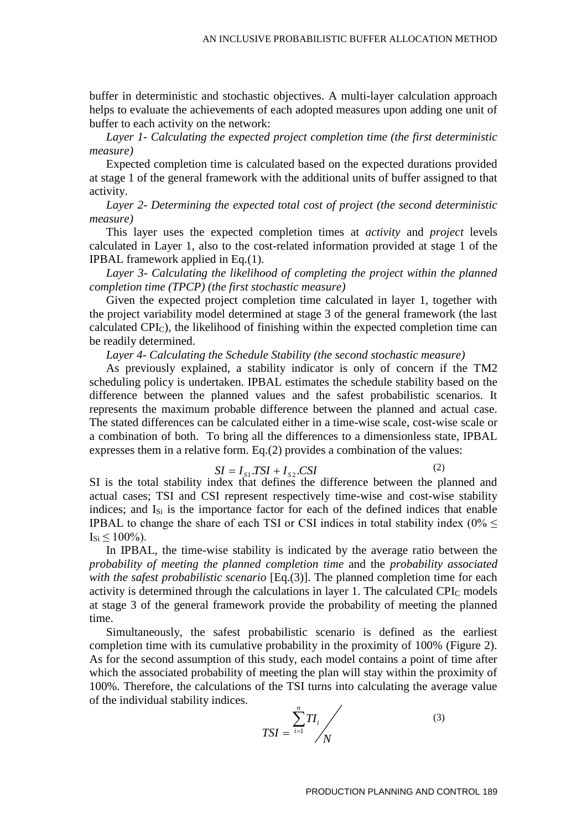buffer in deterministic and stochastic objectives. A multi-layer calculation approach helps to evaluate the achievements of each adopted measures upon adding one unit of buffer to each activity on the network:

*Layer 1- Calculating the expected project completion time (the first deterministic measure)* 

Expected completion time is calculated based on the expected durations provided at stage 1 of the general framework with the additional units of buffer assigned to that activity.

*Layer 2- Determining the expected total cost of project (the second deterministic measure)*

This layer uses the expected completion times at *activity* and *project* levels calculated in Layer 1, also to the cost-related information provided at stage 1 of the IPBAL framework applied in Eq.(1).

*Layer 3- Calculating the likelihood of completing the project within the planned completion time (TPCP) (the first stochastic measure)*

Given the expected project completion time calculated in layer 1, together with the project variability model determined at stage 3 of the general framework (the last calculated CPIC), the likelihood of finishing within the expected completion time can be readily determined.

*Layer 4- Calculating the Schedule Stability (the second stochastic measure)*

As previously explained, a stability indicator is only of concern if the TM2 scheduling policy is undertaken. IPBAL estimates the schedule stability based on the difference between the planned values and the safest probabilistic scenarios. It represents the maximum probable difference between the planned and actual case. The stated differences can be calculated either in a time-wise scale, cost-wise scale or a combination of both. To bring all the differences to a dimensionless state, IPBAL expresses them in a relative form. Eq.(2) provides a combination of the values:

$$
SI = I_{S1}TSI + I_{S2}CSI
$$
 (2)

SI is the total stability index that defines the difference between the planned and actual cases; TSI and CSI represent respectively time-wise and cost-wise stability indices; and  $I_{Si}$  is the importance factor for each of the defined indices that enable IPBAL to change the share of each TSI or CSI indices in total stability index (0%  $\leq$  $I_{\text{Si}}$  < 100%).

In IPBAL, the time-wise stability is indicated by the average ratio between the *probability of meeting the planned completion time* and the *probability associated with the safest probabilistic scenario* [Eq.(3)]. The planned completion time for each activity is determined through the calculations in layer 1. The calculated  $\text{CPI}_\text{C}$  models at stage 3 of the general framework provide the probability of meeting the planned time.

Simultaneously, the safest probabilistic scenario is defined as the earliest completion time with its cumulative probability in the proximity of 100% (Figure 2). As for the second assumption of this study, each model contains a point of time after which the associated probability of meeting the plan will stay within the proximity of 100%. Therefore, the calculations of the TSI turns into calculating the average value of the individual stability indices.

$$
TSI = \frac{\sum_{i=1}^{n} TI_i}{N}
$$
 (3)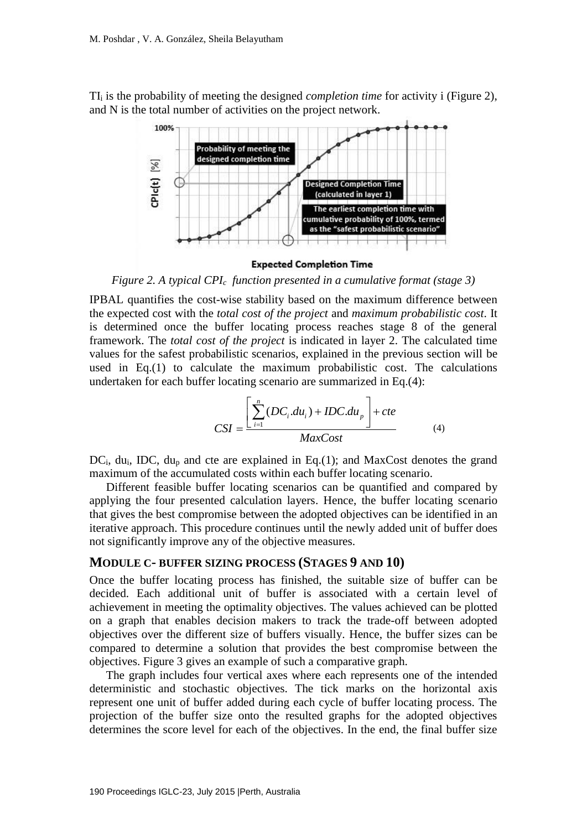TI<sup>i</sup> is the probability of meeting the designed *completion time* for activity i (Figure 2), and N is the total number of activities on the project network.



**Expected Completion Time** 

*Figure 2. A typical CPIc function presented in a cumulative format (stage 3)*

undertaken for each buffer locating scenario are summarized in Eq.(4):<br> $\int_{0}^{n} (DC \ du) + IDC \ du$ IPBAL quantifies the cost-wise stability based on the maximum difference between the expected cost with the *total cost of the project* and *maximum probabilistic cost*. It is determined once the buffer locating process reaches stage 8 of the general framework. The *total cost of the project* is indicated in layer 2. The calculated time values for the safest probabilistic scenarios, explained in the previous section will be used in Eq.(1) to calculate the maximum probabilistic cost. The calculations

$$
CSI = \frac{\left[\sum_{i=1}^{n} (DC_i \cdot du_i) + IDC \cdot du_p\right] + cte}{MaxCost}
$$
 (4)

 $DC_i$ , du<sub>i</sub>, IDC, du<sub>p</sub> and cte are explained in Eq.(1); and MaxCost denotes the grand maximum of the accumulated costs within each buffer locating scenario.

Different feasible buffer locating scenarios can be quantified and compared by applying the four presented calculation layers. Hence, the buffer locating scenario that gives the best compromise between the adopted objectives can be identified in an iterative approach. This procedure continues until the newly added unit of buffer does not significantly improve any of the objective measures.

#### **MODULE C- BUFFER SIZING PROCESS (STAGES 9 AND 10)**

Once the buffer locating process has finished, the suitable size of buffer can be decided. Each additional unit of buffer is associated with a certain level of achievement in meeting the optimality objectives. The values achieved can be plotted on a graph that enables decision makers to track the trade-off between adopted objectives over the different size of buffers visually. Hence, the buffer sizes can be compared to determine a solution that provides the best compromise between the objectives. Figure 3 gives an example of such a comparative graph.

The graph includes four vertical axes where each represents one of the intended deterministic and stochastic objectives. The tick marks on the horizontal axis represent one unit of buffer added during each cycle of buffer locating process. The projection of the buffer size onto the resulted graphs for the adopted objectives determines the score level for each of the objectives. In the end, the final buffer size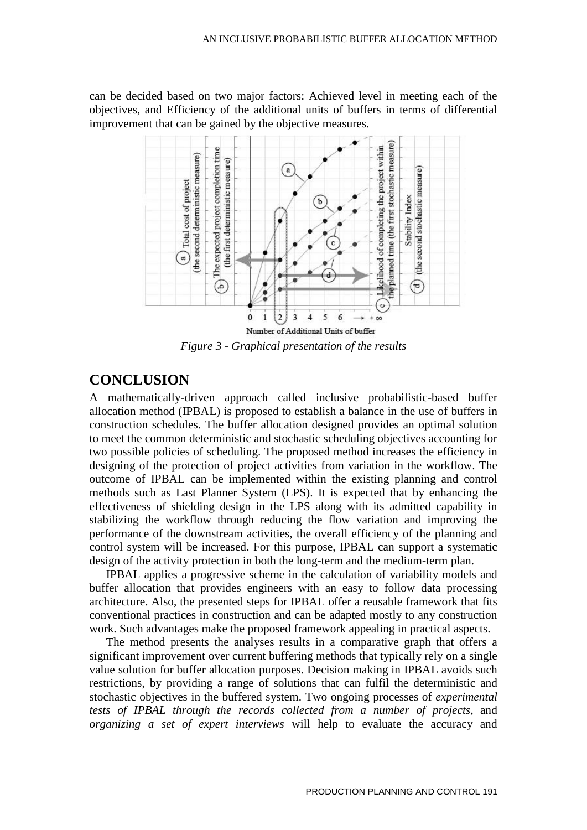can be decided based on two major factors: Achieved level in meeting each of the objectives, and Efficiency of the additional units of buffers in terms of differential improvement that can be gained by the objective measures.



*Figure 3 - Graphical presentation of the results*

## **CONCLUSION**

A mathematically-driven approach called inclusive probabilistic-based buffer allocation method (IPBAL) is proposed to establish a balance in the use of buffers in construction schedules. The buffer allocation designed provides an optimal solution to meet the common deterministic and stochastic scheduling objectives accounting for two possible policies of scheduling. The proposed method increases the efficiency in designing of the protection of project activities from variation in the workflow. The outcome of IPBAL can be implemented within the existing planning and control methods such as Last Planner System (LPS). It is expected that by enhancing the effectiveness of shielding design in the LPS along with its admitted capability in stabilizing the workflow through reducing the flow variation and improving the performance of the downstream activities, the overall efficiency of the planning and control system will be increased. For this purpose, IPBAL can support a systematic design of the activity protection in both the long-term and the medium-term plan.

IPBAL applies a progressive scheme in the calculation of variability models and buffer allocation that provides engineers with an easy to follow data processing architecture. Also, the presented steps for IPBAL offer a reusable framework that fits conventional practices in construction and can be adapted mostly to any construction work. Such advantages make the proposed framework appealing in practical aspects.

The method presents the analyses results in a comparative graph that offers a significant improvement over current buffering methods that typically rely on a single value solution for buffer allocation purposes. Decision making in IPBAL avoids such restrictions, by providing a range of solutions that can fulfil the deterministic and stochastic objectives in the buffered system. Two ongoing processes of *experimental tests of IPBAL through the records collected from a number of projects*, and *organizing a set of expert interviews* will help to evaluate the accuracy and